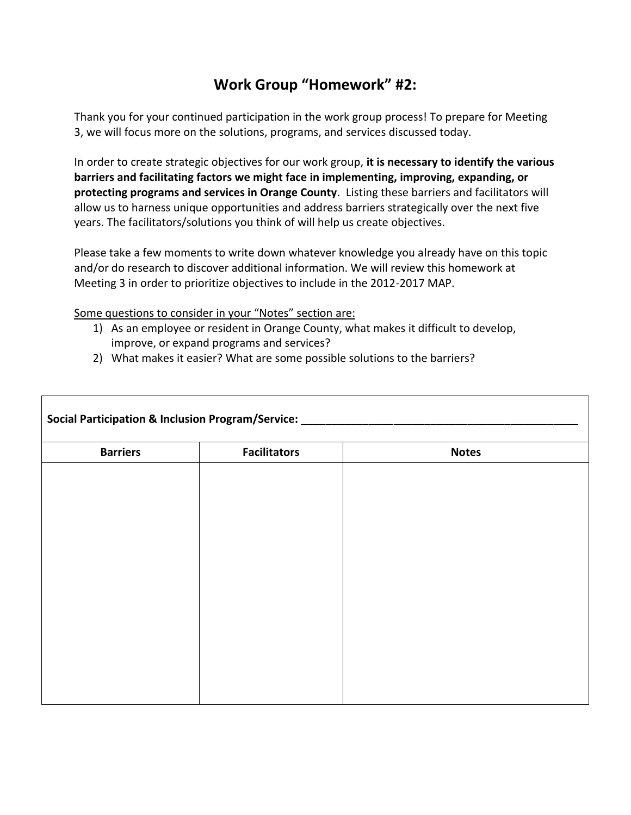## **Work Group "Homework" #2:**

Thank you for your continued participation in the work group process! To prepare for Meeting 3, we will focus more on the solutions, programs, and services discussed today.

In order to create strategic objectives for our work group, **it is necessary to identify the various barriers and facilitating factors we might face in implementing, improving, expanding, or protecting programs and services in Orange County**. Listing these barriers and facilitators will allow us to harness unique opportunities and address barriers strategically over the next five years. The facilitators/solutions you think of will help us create objectives.

Please take a few moments to write down whatever knowledge you already have on this topic and/or do research to discover additional information. We will review this homework at Meeting 3 in order to prioritize objectives to include in the 2012-2017 MAP.

Some questions to consider in your "Notes" section are:

- 1) As an employee or resident in Orange County, what makes it difficult to develop, improve, or expand programs and services?
- 2) What makes it easier? What are some possible solutions to the barriers?

| <b>Barriers</b> | <b>Facilitators</b> | <b>Notes</b> |
|-----------------|---------------------|--------------|
|                 |                     |              |
|                 |                     |              |
|                 |                     |              |
|                 |                     |              |
|                 |                     |              |
|                 |                     |              |
|                 |                     |              |
|                 |                     |              |
|                 |                     |              |
|                 |                     |              |